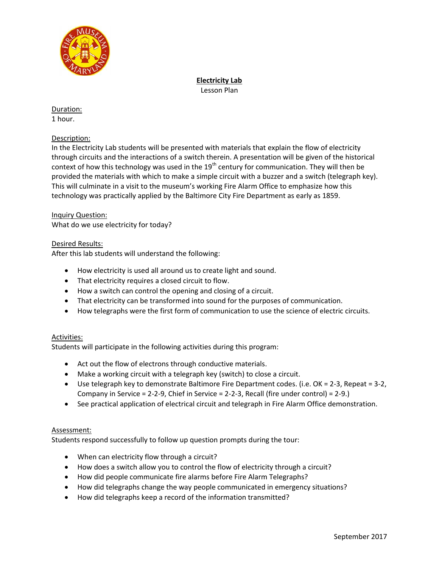

**Electricity Lab** Lesson Plan

#### Duration: 1 hour.

# Description:

In the Electricity Lab students will be presented with materials that explain the flow of electricity through circuits and the interactions of a switch therein. A presentation will be given of the historical context of how this technology was used in the  $19<sup>th</sup>$  century for communication. They will then be provided the materials with which to make a simple circuit with a buzzer and a switch (telegraph key). This will culminate in a visit to the museum's working Fire Alarm Office to emphasize how this technology was practically applied by the Baltimore City Fire Department as early as 1859.

# Inquiry Question:

What do we use electricity for today?

## Desired Results:

After this lab students will understand the following:

- How electricity is used all around us to create light and sound.
- That electricity requires a closed circuit to flow.
- How a switch can control the opening and closing of a circuit.
- That electricity can be transformed into sound for the purposes of communication.
- How telegraphs were the first form of communication to use the science of electric circuits.

## Activities:

Students will participate in the following activities during this program:

- Act out the flow of electrons through conductive materials.
- Make a working circuit with a telegraph key (switch) to close a circuit.
- Use telegraph key to demonstrate Baltimore Fire Department codes. (i.e. OK = 2-3, Repeat = 3-2, Company in Service = 2-2-9, Chief in Service = 2-2-3, Recall (fire under control) = 2-9.)
- See practical application of electrical circuit and telegraph in Fire Alarm Office demonstration.

## Assessment:

Students respond successfully to follow up question prompts during the tour:

- When can electricity flow through a circuit?
- How does a switch allow you to control the flow of electricity through a circuit?
- How did people communicate fire alarms before Fire Alarm Telegraphs?
- How did telegraphs change the way people communicated in emergency situations?
- How did telegraphs keep a record of the information transmitted?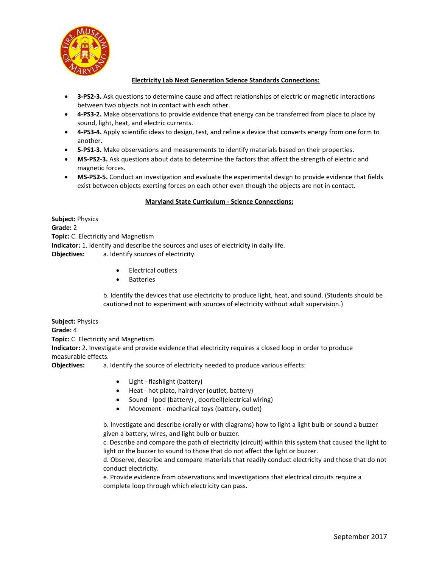

#### **Electricity Lab Next Generation Science Standards Connections:**

- **3-PS2-3.** Ask questions to determine cause and affect relationships of electric or magnetic interactions between two objects not in contact with each other.
- **4-PS3-2.** Make observations to provide evidence that energy can be transferred from place to place by sound, light, heat, and electric currents.
- **4-PS3-4.** Apply scientific ideas to design, test, and refine a device that converts energy from one form to another.
- **5-PS1-3.** Make observations and measurements to identify materials based on their properties.
- **MS-PS2-3.** Ask questions about data to determine the factors that affect the strength of electric and magnetic forces.
- **MS-PS2-5.** Conduct an investigation and evaluate the experimental design to provide evidence that fields exist between objects exerting forces on each other even though the objects are not in contact.

#### **Maryland State Curriculum - Science Connections:**

**Subject:** Physics **Grade:** 2 **Topic:** C. Electricity and Magnetism **Indicator:** 1. Identify and describe the sources and uses of electricity in daily life. **Objectives:** a. Identify sources of electricity.

- Electrical outlets
- Batteries

b. Identify the devices that use electricity to produce light, heat, and sound. (Students should be cautioned not to experiment with sources of electricity without adult supervision.)

**Subject:** Physics **Grade:** 4 **Topic:** C. Electricity and Magnetism **Indicator:** 2. Investigate and provide evidence that electricity requires a closed loop in order to produce

measurable effects.

**Objectives:** a. Identify the source of electricity needed to produce various effects:

- Light flashlight (battery)
- Heat hot plate, hairdryer (outlet, battery)
- Sound Ipod (battery), doorbell(electrical wiring)
- Movement mechanical toys (battery, outlet)

b. Investigate and describe (orally or with diagrams) how to light a light bulb or sound a buzzer given a battery, wires, and light bulb or buzzer.

c. Describe and compare the path of electricity (circuit) within this system that caused the light to light or the buzzer to sound to those that do not affect the light or buzzer.

d. Observe, describe and compare materials that readily conduct electricity and those that do not conduct electricity.

e. Provide evidence from observations and investigations that electrical circuits require a complete loop through which electricity can pass.